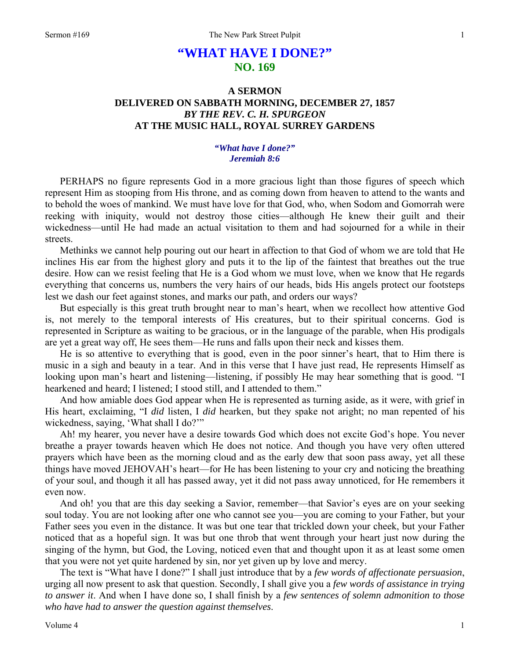# **"WHAT HAVE I DONE?" NO. 169**

## **A SERMON DELIVERED ON SABBATH MORNING, DECEMBER 27, 1857**  *BY THE REV. C. H. SPURGEON*  **AT THE MUSIC HALL, ROYAL SURREY GARDENS**

## *"What have I done?" Jeremiah 8:6*

PERHAPS no figure represents God in a more gracious light than those figures of speech which represent Him as stooping from His throne, and as coming down from heaven to attend to the wants and to behold the woes of mankind. We must have love for that God, who, when Sodom and Gomorrah were reeking with iniquity, would not destroy those cities—although He knew their guilt and their wickedness—until He had made an actual visitation to them and had sojourned for a while in their streets.

Methinks we cannot help pouring out our heart in affection to that God of whom we are told that He inclines His ear from the highest glory and puts it to the lip of the faintest that breathes out the true desire. How can we resist feeling that He is a God whom we must love, when we know that He regards everything that concerns us, numbers the very hairs of our heads, bids His angels protect our footsteps lest we dash our feet against stones, and marks our path, and orders our ways?

But especially is this great truth brought near to man's heart, when we recollect how attentive God is, not merely to the temporal interests of His creatures, but to their spiritual concerns. God is represented in Scripture as waiting to be gracious, or in the language of the parable, when His prodigals are yet a great way off, He sees them—He runs and falls upon their neck and kisses them.

He is so attentive to everything that is good, even in the poor sinner's heart, that to Him there is music in a sigh and beauty in a tear. And in this verse that I have just read, He represents Himself as looking upon man's heart and listening—listening, if possibly He may hear something that is good. "I hearkened and heard; I listened; I stood still, and I attended to them."

And how amiable does God appear when He is represented as turning aside, as it were, with grief in His heart, exclaiming, "I *did* listen, I *did* hearken, but they spake not aright; no man repented of his wickedness, saying, 'What shall I do?"

Ah! my hearer, you never have a desire towards God which does not excite God's hope. You never breathe a prayer towards heaven which He does not notice. And though you have very often uttered prayers which have been as the morning cloud and as the early dew that soon pass away, yet all these things have moved JEHOVAH's heart—for He has been listening to your cry and noticing the breathing of your soul, and though it all has passed away, yet it did not pass away unnoticed, for He remembers it even now.

And oh! you that are this day seeking a Savior, remember—that Savior's eyes are on your seeking soul today. You are not looking after one who cannot see you—you are coming to your Father, but your Father sees you even in the distance. It was but one tear that trickled down your cheek, but your Father noticed that as a hopeful sign. It was but one throb that went through your heart just now during the singing of the hymn, but God, the Loving, noticed even that and thought upon it as at least some omen that you were not yet quite hardened by sin, nor yet given up by love and mercy.

The text is "What have I done?" I shall just introduce that by a *few words of affectionate persuasion*, urging all now present to ask that question. Secondly, I shall give you a *few words of assistance in trying to answer it*. And when I have done so, I shall finish by a *few sentences of solemn admonition to those who have had to answer the question against themselves*.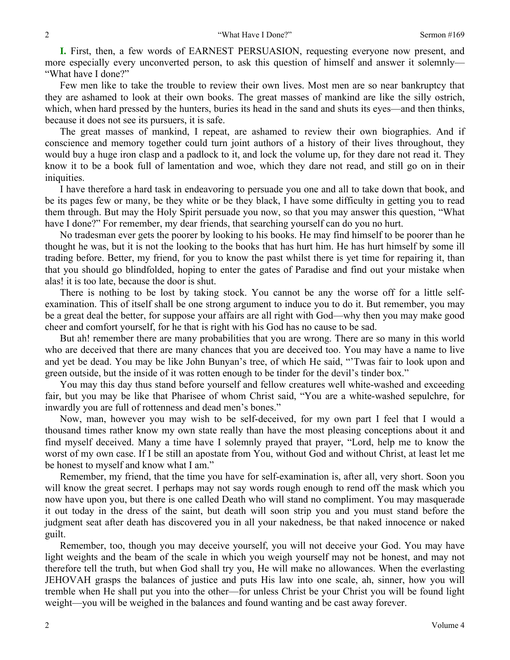**I.** First, then, a few words of EARNEST PERSUASION, requesting everyone now present, and more especially every unconverted person, to ask this question of himself and answer it solemnly— "What have I done?"

Few men like to take the trouble to review their own lives. Most men are so near bankruptcy that they are ashamed to look at their own books. The great masses of mankind are like the silly ostrich, which, when hard pressed by the hunters, buries its head in the sand and shuts its eyes—and then thinks, because it does not see its pursuers, it is safe.

The great masses of mankind, I repeat, are ashamed to review their own biographies. And if conscience and memory together could turn joint authors of a history of their lives throughout, they would buy a huge iron clasp and a padlock to it, and lock the volume up, for they dare not read it. They know it to be a book full of lamentation and woe, which they dare not read, and still go on in their iniquities.

I have therefore a hard task in endeavoring to persuade you one and all to take down that book, and be its pages few or many, be they white or be they black, I have some difficulty in getting you to read them through. But may the Holy Spirit persuade you now, so that you may answer this question, "What have I done?" For remember, my dear friends, that searching yourself can do you no hurt.

No tradesman ever gets the poorer by looking to his books. He may find himself to be poorer than he thought he was, but it is not the looking to the books that has hurt him. He has hurt himself by some ill trading before. Better, my friend, for you to know the past whilst there is yet time for repairing it, than that you should go blindfolded, hoping to enter the gates of Paradise and find out your mistake when alas! it is too late, because the door is shut.

There is nothing to be lost by taking stock. You cannot be any the worse off for a little selfexamination. This of itself shall be one strong argument to induce you to do it. But remember, you may be a great deal the better, for suppose your affairs are all right with God—why then you may make good cheer and comfort yourself, for he that is right with his God has no cause to be sad.

But ah! remember there are many probabilities that you are wrong. There are so many in this world who are deceived that there are many chances that you are deceived too. You may have a name to live and yet be dead. You may be like John Bunyan's tree, of which He said, "'Twas fair to look upon and green outside, but the inside of it was rotten enough to be tinder for the devil's tinder box."

You may this day thus stand before yourself and fellow creatures well white-washed and exceeding fair, but you may be like that Pharisee of whom Christ said, "You are a white-washed sepulchre, for inwardly you are full of rottenness and dead men's bones."

Now, man, however you may wish to be self-deceived, for my own part I feel that I would a thousand times rather know my own state really than have the most pleasing conceptions about it and find myself deceived. Many a time have I solemnly prayed that prayer, "Lord, help me to know the worst of my own case. If I be still an apostate from You, without God and without Christ, at least let me be honest to myself and know what I am."

Remember, my friend, that the time you have for self-examination is, after all, very short. Soon you will know the great secret. I perhaps may not say words rough enough to rend off the mask which you now have upon you, but there is one called Death who will stand no compliment. You may masquerade it out today in the dress of the saint, but death will soon strip you and you must stand before the judgment seat after death has discovered you in all your nakedness, be that naked innocence or naked guilt.

Remember, too, though you may deceive yourself, you will not deceive your God. You may have light weights and the beam of the scale in which you weigh yourself may not be honest, and may not therefore tell the truth, but when God shall try you, He will make no allowances. When the everlasting JEHOVAH grasps the balances of justice and puts His law into one scale, ah, sinner, how you will tremble when He shall put you into the other—for unless Christ be your Christ you will be found light weight—you will be weighed in the balances and found wanting and be cast away forever.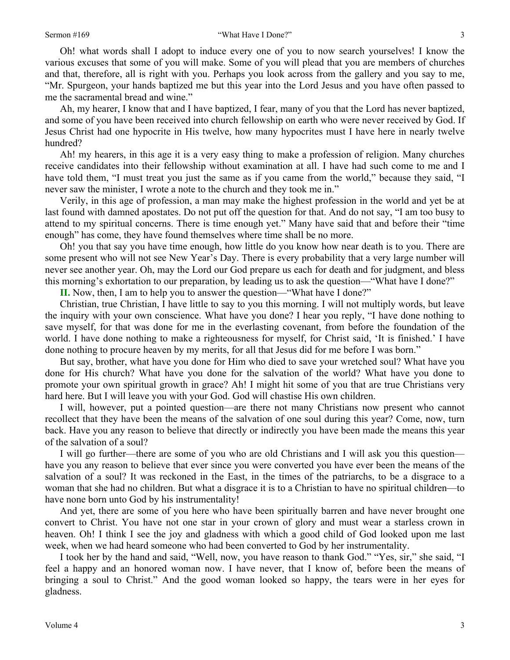Oh! what words shall I adopt to induce every one of you to now search yourselves! I know the various excuses that some of you will make. Some of you will plead that you are members of churches and that, therefore, all is right with you. Perhaps you look across from the gallery and you say to me, "Mr. Spurgeon, your hands baptized me but this year into the Lord Jesus and you have often passed to me the sacramental bread and wine."

Ah, my hearer, I know that and I have baptized, I fear, many of you that the Lord has never baptized, and some of you have been received into church fellowship on earth who were never received by God. If Jesus Christ had one hypocrite in His twelve, how many hypocrites must I have here in nearly twelve hundred?

Ah! my hearers, in this age it is a very easy thing to make a profession of religion. Many churches receive candidates into their fellowship without examination at all. I have had such come to me and I have told them, "I must treat you just the same as if you came from the world," because they said, "I never saw the minister, I wrote a note to the church and they took me in."

Verily, in this age of profession, a man may make the highest profession in the world and yet be at last found with damned apostates. Do not put off the question for that. And do not say, "I am too busy to attend to my spiritual concerns. There is time enough yet." Many have said that and before their "time enough" has come, they have found themselves where time shall be no more.

Oh! you that say you have time enough, how little do you know how near death is to you. There are some present who will not see New Year's Day. There is every probability that a very large number will never see another year. Oh, may the Lord our God prepare us each for death and for judgment, and bless this morning's exhortation to our preparation, by leading us to ask the question—"What have I done?"

**II.** Now, then, I am to help you to answer the question—"What have I done?"

Christian, true Christian, I have little to say to you this morning. I will not multiply words, but leave the inquiry with your own conscience. What have you done? I hear you reply, "I have done nothing to save myself, for that was done for me in the everlasting covenant, from before the foundation of the world. I have done nothing to make a righteousness for myself, for Christ said, 'It is finished.' I have done nothing to procure heaven by my merits, for all that Jesus did for me before I was born."

But say, brother, what have you done for Him who died to save your wretched soul? What have you done for His church? What have you done for the salvation of the world? What have you done to promote your own spiritual growth in grace? Ah! I might hit some of you that are true Christians very hard here. But I will leave you with your God. God will chastise His own children.

I will, however, put a pointed question—are there not many Christians now present who cannot recollect that they have been the means of the salvation of one soul during this year? Come, now, turn back. Have you any reason to believe that directly or indirectly you have been made the means this year of the salvation of a soul?

I will go further—there are some of you who are old Christians and I will ask you this question have you any reason to believe that ever since you were converted you have ever been the means of the salvation of a soul? It was reckoned in the East, in the times of the patriarchs, to be a disgrace to a woman that she had no children. But what a disgrace it is to a Christian to have no spiritual children—to have none born unto God by his instrumentality!

And yet, there are some of you here who have been spiritually barren and have never brought one convert to Christ. You have not one star in your crown of glory and must wear a starless crown in heaven. Oh! I think I see the joy and gladness with which a good child of God looked upon me last week, when we had heard someone who had been converted to God by her instrumentality.

I took her by the hand and said, "Well, now, you have reason to thank God." "Yes, sir," she said, "I feel a happy and an honored woman now. I have never, that I know of, before been the means of bringing a soul to Christ." And the good woman looked so happy, the tears were in her eyes for gladness.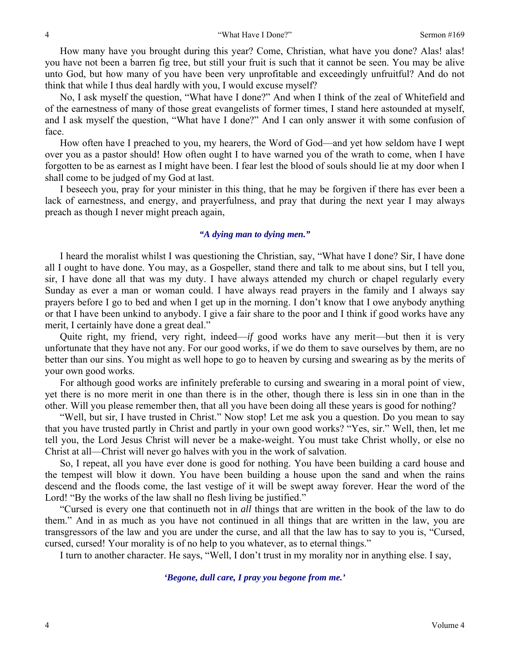How many have you brought during this year? Come, Christian, what have you done? Alas! alas! you have not been a barren fig tree, but still your fruit is such that it cannot be seen. You may be alive unto God, but how many of you have been very unprofitable and exceedingly unfruitful? And do not think that while I thus deal hardly with you, I would excuse myself?

No, I ask myself the question, "What have I done?" And when I think of the zeal of Whitefield and of the earnestness of many of those great evangelists of former times, I stand here astounded at myself, and I ask myself the question, "What have I done?" And I can only answer it with some confusion of face.

How often have I preached to you, my hearers, the Word of God—and yet how seldom have I wept over you as a pastor should! How often ought I to have warned you of the wrath to come, when I have forgotten to be as earnest as I might have been. I fear lest the blood of souls should lie at my door when I shall come to be judged of my God at last.

I beseech you, pray for your minister in this thing, that he may be forgiven if there has ever been a lack of earnestness, and energy, and prayerfulness, and pray that during the next year I may always preach as though I never might preach again,

## *"A dying man to dying men."*

I heard the moralist whilst I was questioning the Christian, say, "What have I done? Sir, I have done all I ought to have done. You may, as a Gospeller, stand there and talk to me about sins, but I tell you, sir, I have done all that was my duty. I have always attended my church or chapel regularly every Sunday as ever a man or woman could. I have always read prayers in the family and I always say prayers before I go to bed and when I get up in the morning. I don't know that I owe anybody anything or that I have been unkind to anybody. I give a fair share to the poor and I think if good works have any merit, I certainly have done a great deal."

Quite right, my friend, very right, indeed—*if* good works have any merit—but then it is very unfortunate that they have not any. For our good works, if we do them to save ourselves by them, are no better than our sins. You might as well hope to go to heaven by cursing and swearing as by the merits of your own good works.

For although good works are infinitely preferable to cursing and swearing in a moral point of view, yet there is no more merit in one than there is in the other, though there is less sin in one than in the other. Will you please remember then, that all you have been doing all these years is good for nothing?

"Well, but sir, I have trusted in Christ." Now stop! Let me ask you a question. Do you mean to say that you have trusted partly in Christ and partly in your own good works? "Yes, sir." Well, then, let me tell you, the Lord Jesus Christ will never be a make-weight. You must take Christ wholly, or else no Christ at all—Christ will never go halves with you in the work of salvation.

So, I repeat, all you have ever done is good for nothing. You have been building a card house and the tempest will blow it down. You have been building a house upon the sand and when the rains descend and the floods come, the last vestige of it will be swept away forever. Hear the word of the Lord! "By the works of the law shall no flesh living be justified."

"Cursed is every one that continueth not in *all* things that are written in the book of the law to do them." And in as much as you have not continued in all things that are written in the law, you are transgressors of the law and you are under the curse, and all that the law has to say to you is, "Cursed, cursed, cursed! Your morality is of no help to you whatever, as to eternal things."

I turn to another character. He says, "Well, I don't trust in my morality nor in anything else. I say,

#### *'Begone, dull care, I pray you begone from me.'*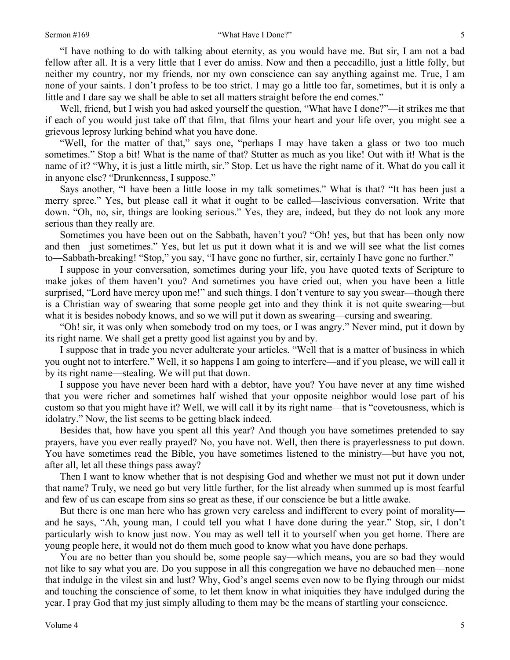#### Sermon #169 **"What Have I Done?"** "What Have I Done?"

"I have nothing to do with talking about eternity, as you would have me. But sir, I am not a bad fellow after all. It is a very little that I ever do amiss. Now and then a peccadillo, just a little folly, but neither my country, nor my friends, nor my own conscience can say anything against me. True, I am none of your saints. I don't profess to be too strict. I may go a little too far, sometimes, but it is only a little and I dare say we shall be able to set all matters straight before the end comes."

Well, friend, but I wish you had asked yourself the question, "What have I done?"—it strikes me that if each of you would just take off that film, that films your heart and your life over, you might see a grievous leprosy lurking behind what you have done.

"Well, for the matter of that," says one, "perhaps I may have taken a glass or two too much sometimes." Stop a bit! What is the name of that? Stutter as much as you like! Out with it! What is the name of it? "Why, it is just a little mirth, sir." Stop. Let us have the right name of it. What do you call it in anyone else? "Drunkenness, I suppose."

Says another, "I have been a little loose in my talk sometimes." What is that? "It has been just a merry spree." Yes, but please call it what it ought to be called—lascivious conversation. Write that down. "Oh, no, sir, things are looking serious." Yes, they are, indeed, but they do not look any more serious than they really are.

Sometimes you have been out on the Sabbath, haven't you? "Oh! yes, but that has been only now and then—just sometimes." Yes, but let us put it down what it is and we will see what the list comes to—Sabbath-breaking! "Stop," you say, "I have gone no further, sir, certainly I have gone no further."

I suppose in your conversation, sometimes during your life, you have quoted texts of Scripture to make jokes of them haven't you? And sometimes you have cried out, when you have been a little surprised, "Lord have mercy upon me!" and such things. I don't venture to say you swear—though there is a Christian way of swearing that some people get into and they think it is not quite swearing—but what it is besides nobody knows, and so we will put it down as swearing—cursing and swearing.

"Oh! sir, it was only when somebody trod on my toes, or I was angry." Never mind, put it down by its right name. We shall get a pretty good list against you by and by.

I suppose that in trade you never adulterate your articles. "Well that is a matter of business in which you ought not to interfere." Well, it so happens I am going to interfere—and if you please, we will call it by its right name—stealing*.* We will put that down.

I suppose you have never been hard with a debtor, have you? You have never at any time wished that you were richer and sometimes half wished that your opposite neighbor would lose part of his custom so that you might have it? Well, we will call it by its right name—that is "covetousness, which is idolatry." Now, the list seems to be getting black indeed.

Besides that, how have you spent all this year? And though you have sometimes pretended to say prayers, have you ever really prayed? No, you have not. Well, then there is prayerlessness to put down. You have sometimes read the Bible, you have sometimes listened to the ministry—but have you not, after all, let all these things pass away?

Then I want to know whether that is not despising God and whether we must not put it down under that name? Truly, we need go but very little further, for the list already when summed up is most fearful and few of us can escape from sins so great as these, if our conscience be but a little awake.

But there is one man here who has grown very careless and indifferent to every point of morality and he says, "Ah, young man, I could tell you what I have done during the year." Stop, sir, I don't particularly wish to know just now. You may as well tell it to yourself when you get home. There are young people here, it would not do them much good to know what you have done perhaps.

You are no better than you should be, some people say—which means, you are so bad they would not like to say what you are. Do you suppose in all this congregation we have no debauched men—none that indulge in the vilest sin and lust? Why, God's angel seems even now to be flying through our midst and touching the conscience of some, to let them know in what iniquities they have indulged during the year. I pray God that my just simply alluding to them may be the means of startling your conscience.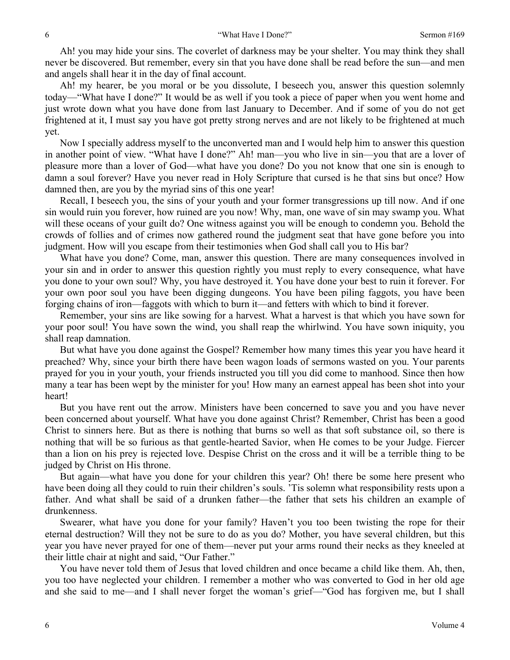Ah! you may hide your sins. The coverlet of darkness may be your shelter. You may think they shall never be discovered. But remember, every sin that you have done shall be read before the sun—and men and angels shall hear it in the day of final account.

Ah! my hearer, be you moral or be you dissolute, I beseech you, answer this question solemnly today—"What have I done?" It would be as well if you took a piece of paper when you went home and just wrote down what you have done from last January to December. And if some of you do not get frightened at it, I must say you have got pretty strong nerves and are not likely to be frightened at much yet.

Now I specially address myself to the unconverted man and I would help him to answer this question in another point of view. "What have I done?" Ah! man—you who live in sin—you that are a lover of pleasure more than a lover of God—what have you done? Do you not know that one sin is enough to damn a soul forever? Have you never read in Holy Scripture that cursed is he that sins but once? How damned then, are you by the myriad sins of this one year!

Recall, I beseech you, the sins of your youth and your former transgressions up till now. And if one sin would ruin you forever, how ruined are you now! Why, man, one wave of sin may swamp you. What will these oceans of your guilt do? One witness against you will be enough to condemn you. Behold the crowds of follies and of crimes now gathered round the judgment seat that have gone before you into judgment. How will you escape from their testimonies when God shall call you to His bar?

What have you done? Come, man, answer this question. There are many consequences involved in your sin and in order to answer this question rightly you must reply to every consequence, what have you done to your own soul? Why, you have destroyed it. You have done your best to ruin it forever. For your own poor soul you have been digging dungeons. You have been piling faggots, you have been forging chains of iron—faggots with which to burn it—and fetters with which to bind it forever.

Remember, your sins are like sowing for a harvest. What a harvest is that which you have sown for your poor soul! You have sown the wind, you shall reap the whirlwind. You have sown iniquity, you shall reap damnation.

But what have you done against the Gospel? Remember how many times this year you have heard it preached? Why, since your birth there have been wagon loads of sermons wasted on you. Your parents prayed for you in your youth, your friends instructed you till you did come to manhood. Since then how many a tear has been wept by the minister for you! How many an earnest appeal has been shot into your heart!

But you have rent out the arrow. Ministers have been concerned to save you and you have never been concerned about yourself. What have you done against Christ? Remember, Christ has been a good Christ to sinners here. But as there is nothing that burns so well as that soft substance oil, so there is nothing that will be so furious as that gentle-hearted Savior, when He comes to be your Judge. Fiercer than a lion on his prey is rejected love. Despise Christ on the cross and it will be a terrible thing to be judged by Christ on His throne.

But again—what have you done for your children this year? Oh! there be some here present who have been doing all they could to ruin their children's souls. 'Tis solemn what responsibility rests upon a father. And what shall be said of a drunken father—the father that sets his children an example of drunkenness.

Swearer, what have you done for your family? Haven't you too been twisting the rope for their eternal destruction? Will they not be sure to do as you do? Mother, you have several children, but this year you have never prayed for one of them—never put your arms round their necks as they kneeled at their little chair at night and said, "Our Father."

You have never told them of Jesus that loved children and once became a child like them. Ah, then, you too have neglected your children. I remember a mother who was converted to God in her old age and she said to me—and I shall never forget the woman's grief—"God has forgiven me, but I shall

6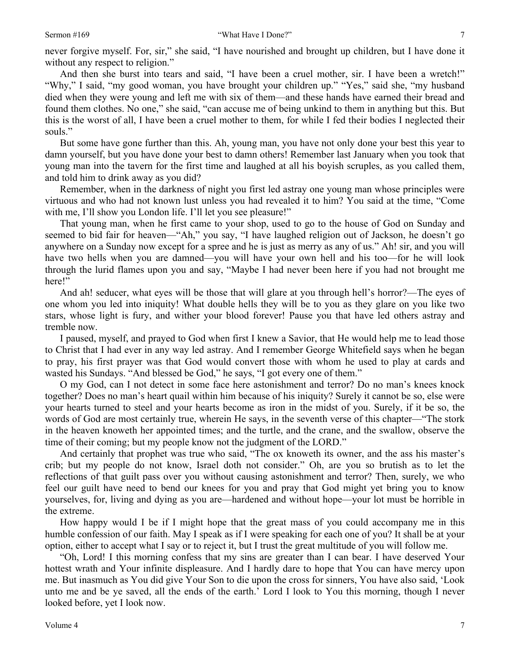#### Sermon #169 "What Have I Done?"

never forgive myself. For, sir," she said, "I have nourished and brought up children, but I have done it without any respect to religion."

And then she burst into tears and said, "I have been a cruel mother, sir. I have been a wretch!" "Why," I said, "my good woman, you have brought your children up." "Yes," said she, "my husband died when they were young and left me with six of them—and these hands have earned their bread and found them clothes. No one," she said, "can accuse me of being unkind to them in anything but this. But this is the worst of all, I have been a cruel mother to them, for while I fed their bodies I neglected their souls."

But some have gone further than this. Ah, young man, you have not only done your best this year to damn yourself, but you have done your best to damn others! Remember last January when you took that young man into the tavern for the first time and laughed at all his boyish scruples, as you called them, and told him to drink away as you did?

Remember, when in the darkness of night you first led astray one young man whose principles were virtuous and who had not known lust unless you had revealed it to him? You said at the time, "Come with me, I'll show you London life. I'll let you see pleasure!"

That young man, when he first came to your shop, used to go to the house of God on Sunday and seemed to bid fair for heaven—"Ah," you say, "I have laughed religion out of Jackson, he doesn't go anywhere on a Sunday now except for a spree and he is just as merry as any of us." Ah! sir, and you will have two hells when you are damned—you will have your own hell and his too—for he will look through the lurid flames upon you and say, "Maybe I had never been here if you had not brought me here!"

And ah! seducer, what eyes will be those that will glare at you through hell's horror?—The eyes of one whom you led into iniquity! What double hells they will be to you as they glare on you like two stars, whose light is fury, and wither your blood forever! Pause you that have led others astray and tremble now.

I paused, myself, and prayed to God when first I knew a Savior, that He would help me to lead those to Christ that I had ever in any way led astray. And I remember George Whitefield says when he began to pray, his first prayer was that God would convert those with whom he used to play at cards and wasted his Sundays. "And blessed be God," he says, "I got every one of them."

O my God, can I not detect in some face here astonishment and terror? Do no man's knees knock together? Does no man's heart quail within him because of his iniquity? Surely it cannot be so, else were your hearts turned to steel and your hearts become as iron in the midst of you. Surely, if it be so, the words of God are most certainly true, wherein He says, in the seventh verse of this chapter—"The stork in the heaven knoweth her appointed times; and the turtle, and the crane, and the swallow, observe the time of their coming; but my people know not the judgment of the LORD."

And certainly that prophet was true who said, "The ox knoweth its owner, and the ass his master's crib; but my people do not know, Israel doth not consider." Oh, are you so brutish as to let the reflections of that guilt pass over you without causing astonishment and terror? Then, surely, we who feel our guilt have need to bend our knees for you and pray that God might yet bring you to know yourselves, for, living and dying as you are—hardened and without hope—your lot must be horrible in the extreme.

How happy would I be if I might hope that the great mass of you could accompany me in this humble confession of our faith. May I speak as if I were speaking for each one of you? It shall be at your option, either to accept what I say or to reject it, but I trust the great multitude of you will follow me.

"Oh, Lord! I this morning confess that my sins are greater than I can bear. I have deserved Your hottest wrath and Your infinite displeasure. And I hardly dare to hope that You can have mercy upon me. But inasmuch as You did give Your Son to die upon the cross for sinners, You have also said, 'Look unto me and be ye saved, all the ends of the earth.' Lord I look to You this morning, though I never looked before, yet I look now.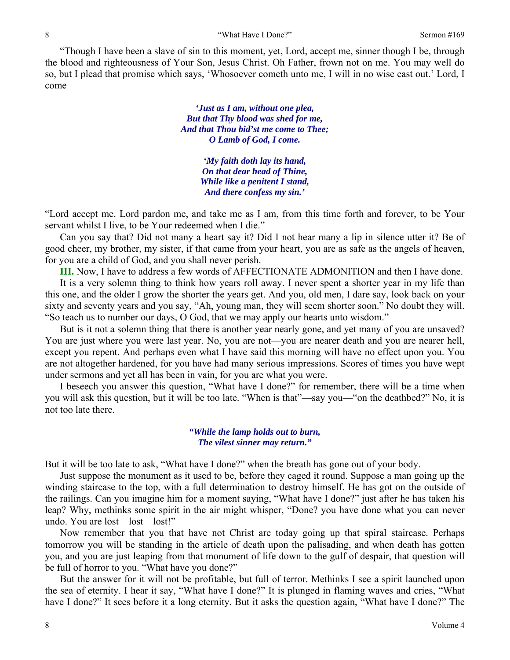"Though I have been a slave of sin to this moment, yet, Lord, accept me, sinner though I be, through the blood and righteousness of Your Son, Jesus Christ. Oh Father, frown not on me. You may well do so, but I plead that promise which says, 'Whosoever cometh unto me, I will in no wise cast out.' Lord, I come—

> *'Just as I am, without one plea, But that Thy blood was shed for me, And that Thou bid'st me come to Thee; O Lamb of God, I come.*

> > *'My faith doth lay its hand, On that dear head of Thine, While like a penitent I stand, And there confess my sin.'*

"Lord accept me. Lord pardon me, and take me as I am, from this time forth and forever, to be Your servant whilst I live, to be Your redeemed when I die."

Can you say that? Did not many a heart say it? Did I not hear many a lip in silence utter it? Be of good cheer, my brother, my sister, if that came from your heart, you are as safe as the angels of heaven, for you are a child of God, and you shall never perish.

**III.** Now, I have to address a few words of AFFECTIONATE ADMONITION and then I have done.

It is a very solemn thing to think how years roll away. I never spent a shorter year in my life than this one, and the older I grow the shorter the years get. And you, old men, I dare say, look back on your sixty and seventy years and you say, "Ah, young man, they will seem shorter soon." No doubt they will. "So teach us to number our days, O God, that we may apply our hearts unto wisdom."

But is it not a solemn thing that there is another year nearly gone, and yet many of you are unsaved? You are just where you were last year. No, you are not—you are nearer death and you are nearer hell, except you repent. And perhaps even what I have said this morning will have no effect upon you. You are not altogether hardened, for you have had many serious impressions. Scores of times you have wept under sermons and yet all has been in vain, for you are what you were.

I beseech you answer this question, "What have I done?" for remember, there will be a time when you will ask this question, but it will be too late. "When is that"—say you—"on the deathbed?" No, it is not too late there.

> *"While the lamp holds out to burn, The vilest sinner may return."*

But it will be too late to ask, "What have I done?" when the breath has gone out of your body.

Just suppose the monument as it used to be, before they caged it round. Suppose a man going up the winding staircase to the top, with a full determination to destroy himself. He has got on the outside of the railings. Can you imagine him for a moment saying, "What have I done?" just after he has taken his leap? Why, methinks some spirit in the air might whisper, "Done? you have done what you can never undo. You are lost—lost—lost!"

Now remember that you that have not Christ are today going up that spiral staircase. Perhaps tomorrow you will be standing in the article of death upon the palisading, and when death has gotten you, and you are just leaping from that monument of life down to the gulf of despair, that question will be full of horror to you. "What have you done?"

But the answer for it will not be profitable, but full of terror. Methinks I see a spirit launched upon the sea of eternity. I hear it say, "What have I done?" It is plunged in flaming waves and cries, "What have I done?" It sees before it a long eternity. But it asks the question again, "What have I done?" The

8